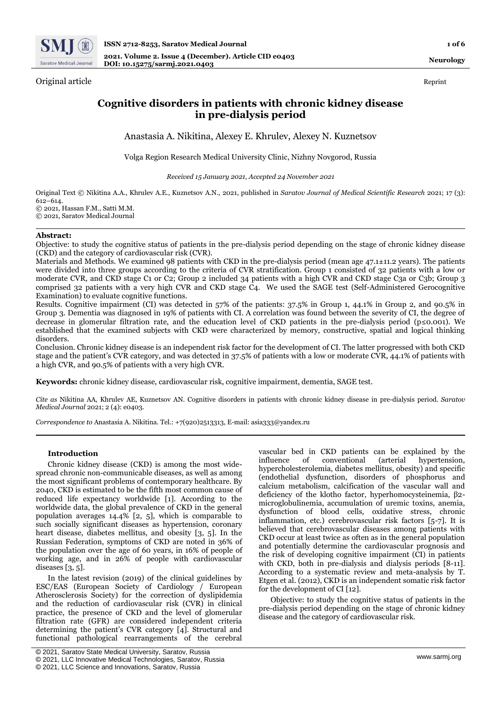

Original article Reprint

**Neurology**

# **Cognitive disorders in patients with chronic kidney disease in pre-dialysis period**

Anastasia A. Nikitina, Alexey E. Khrulev, Alexey N. Kuznetsov

Volga Region Research Medical University Clinic, Nizhny Novgorod, Russia

*Received 15 January 2021, Accepted 24 November 2021*

Original Text © Nikitina A.A., Khrulev A.E., Kuznetsov A.N., 2021, published in *Saratov Journal of Medical Scientific Research* 2021; 17 (3): 612–614. © 2021, Hassan F.M., Satti M.M.

© 2021, Saratov Medical Journal

# **Abstract:**

Objective: to study the cognitive status of patients in the pre-dialysis period depending on the stage of chronic kidney disease (CKD) and the category of cardiovascular risk (CVR).

Materials and Methods. We examined 98 patients with CKD in the pre-dialysis period (mean age 47.1±11.2 years). The patients were divided into three groups according to the criteria of CVR stratification. Group 1 consisted of 32 patients with a low or moderate CVR, and CKD stage C1 or C2; Group 2 included 34 patients with a high CVR and CKD stage C3a or C3b; Group 3 comprised 32 patients with a very high CVR and CKD stage C4. We used the SAGE test (Self-Administered Gerocognitive Examination) to evaluate cognitive functions.

Results. Cognitive impairment (CI) was detected in 57% of the patients: 37.5% in Group 1, 44.1% in Group 2, and 90.5% in Group 3. Dementia was diagnosed in 19% of patients with CI. A correlation was found between the severity of CI, the degree of decrease in glomerular filtration rate, and the education level of CKD patients in the pre-dialysis period (p≤0.001). We established that the examined subjects with CKD were characterized by memory, constructive, spatial and logical thinking disorders.

Conclusion. Chronic kidney disease is an independent risk factor for the development of CI. The latter progressed with both CKD stage and the patient's CVR category, and was detected in 37.5% of patients with a low or moderate CVR, 44.1% of patients with a high CVR, and 90.5% of patients with a very high CVR.

**Keywords:** chronic kidney disease, cardiovascular risk, cognitive impairment, dementia, SAGE test.

*Cite as* Nikitina AA, Khrulev AE, Kuznetsov AN. Cognitive disorders in patients with chronic kidney disease in pre-dialysis period. *Saratov Medical Journal* 2021; 2 (4): e0403.

*Correspondence to* Anastasia A. Nikitina. Tel.: +7(920)2513313, E-mail: asia333@yandex.ru

### **Introduction**

Chronic kidney disease (CKD) is among the most widespread chronic non-communicable diseases, as well as among the most significant problems of contemporary healthcare. By 2040, CKD is estimated to be the fifth most common cause of reduced life expectancy worldwide [1]. According to the worldwide data, the global prevalence of CKD in the general population averages 14.4% [2, 5], which is comparable to such socially significant diseases as hypertension, coronary heart disease, diabetes mellitus, and obesity [3, 5]. In the Russian Federation, symptoms of CKD are noted in 36% of the population over the age of 60 years, in 16% of people of working age, and in 26% of people with cardiovascular diseases [3, 5].

In the latest revision (2019) of the clinical guidelines by ESC/EAS (European Society of Cardiology / European Atherosclerosis Society) for the correction of dyslipidemia and the reduction of cardiovascular risk (CVR) in clinical practice, the presence of CKD and the level of glomerular filtration rate (GFR) are considered independent criteria determining the patient's CVR category [4]. Structural and functional pathological rearrangements of the cerebral

vascular bed in CKD patients can be explained by the influence of conventional (arterial hypertension, hypercholesterolemia, diabetes mellitus, obesity) and specific (endothelial dysfunction, disorders of phosphorus and calcium metabolism, calcification of the vascular wall and deficiency of the klotho factor, hyperhomocysteinemia, β2 microglobulinemia, accumulation of uremic toxins, anemia, dysfunction of blood cells, oxidative stress, chronic inflammation, etc.) cerebrovascular risk factors [5-7]. It is believed that cerebrovascular diseases among patients with CKD occur at least twice as often as in the general population and potentially determine the cardiovascular prognosis and the risk of developing cognitive impairment (CI) in patients with CKD, both in pre-dialysis and dialysis periods [8-11]. According to a systematic review and meta-analysis by T. Etgen et al. (2012), CKD is an independent somatic risk factor for the development of CI [12].

Objective: to study the cognitive status of patients in the pre-dialysis period depending on the stage of chronic kidney disease and the category of cardiovascular risk.

<sup>©</sup> 2021, Saratov State Medical University, Saratov, Russia

<sup>©</sup> 2021, LLC Innovative Medical Technologies, Saratov, Russia

<sup>©</sup> 2021, LLC Science and Innovations, Saratov, Russia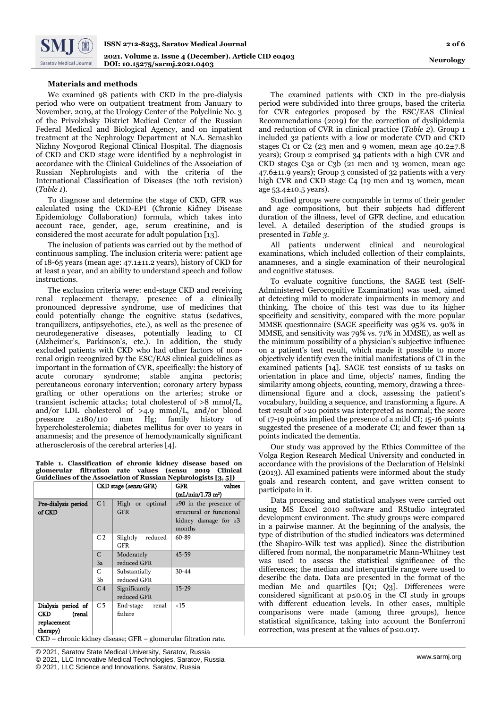# **Materials and methods**

We examined 98 patients with CKD in the pre-dialysis period who were on outpatient treatment from January to November, 2019, at the Urology Center of the Polyclinic No. 3 of the Privolzhsky District Medical Center of the Russian Federal Medical and Biological Agency, and on inpatient treatment at the Nephrology Department at N.A. Semashko Nizhny Novgorod Regional Clinical Hospital. The diagnosis of CKD and CKD stage were identified by a nephrologist in accordance with the Clinical Guidelines of the Association of Russian Nephrologists and with the criteria of the International Classification of Diseases (the 10th revision) (*Table 1*).

To diagnose and determine the stage of CKD, GFR was calculated using the CKD-EPI (Chronic Kidney Disease Epidemiology Collaboration) formula, which takes into account race, gender, age, serum creatinine, and is considered the most accurate for adult population [13].

The inclusion of patients was carried out by the method of continuous sampling. The inclusion criteria were: patient age of 18-65 years (mean age: 47.1±11.2 years), history of CKD for at least a year, and an ability to understand speech and follow instructions.

The exclusion criteria were: end-stage CKD and receiving renal replacement therapy, presence of a clinically pronounced depressive syndrome, use of medicines that could potentially change the cognitive status (sedatives, tranquilizers, antipsychotics, etc.), as well as the presence of neurodegenerative diseases, potentially leading to CI (Alzheimer's, Parkinson's, etc.). In addition, the study excluded patients with CKD who had other factors of nonrenal origin recognized by the ESC/EAS clinical guidelines as important in the formation of CVR, specifically: the history of acute coronary syndrome; stable angina pectoris; percutaneous coronary intervention; coronary artery bypass grafting or other operations on the arteries; stroke or transient ischemic attacks; total cholesterol of >8 mmol/L, and/or LDL cholesterol of >4.9 mmol/L, and/or blood pressure ≥180/110 mm Hg; family history of hypercholesterolemia; diabetes mellitus for over 10 years in anamnesis; and the presence of hemodynamically significant atherosclerosis of the cerebral arteries [4].

**Таble 1. Classification of chronic kidney disease based on glomerular filtration rate values (sensu 2019 Clinical Guidelines of the Association of Russian Nephrologists [3, 5])**

|                                                                | CKD stage (sensu GFR) |                                       | ---- <del>0-------</del><br>GFR<br>values                                                        |  |
|----------------------------------------------------------------|-----------------------|---------------------------------------|--------------------------------------------------------------------------------------------------|--|
|                                                                |                       |                                       | (mL/min/1.73 m <sup>2</sup> )                                                                    |  |
| Pre-dialysis period<br>of CKD                                  | C <sub>1</sub>        | High or optimal<br><b>GFR</b>         | $\geq 90$ in the presence of<br>structural or functional<br>kidney damage for $\geq 3$<br>months |  |
|                                                                | C <sub>2</sub>        | Slightly<br>reduced<br>GFR            | 60-89                                                                                            |  |
|                                                                | C                     | Moderately                            | $45 - 59$                                                                                        |  |
|                                                                | 3a                    | reduced GFR                           |                                                                                                  |  |
|                                                                | C                     | Substantially                         | $30 - 44$                                                                                        |  |
|                                                                | 3 <sub>b</sub>        | reduced GFR                           |                                                                                                  |  |
|                                                                | C <sub>4</sub>        | Significantly                         | $15-29$                                                                                          |  |
|                                                                |                       | reduced GFR                           |                                                                                                  |  |
| Dialysis period of                                             | C <sub>5</sub>        | End-stage renal                       | <15                                                                                              |  |
| CKD<br>(renal                                                  |                       | failure                               |                                                                                                  |  |
| replacement                                                    |                       |                                       |                                                                                                  |  |
| therapy)<br>$\cdot$ $\cdot$ $\cdot$ $\cdot$<br>$\alpha$ itro 1 | ъ.                    | $\sim$ T <sub>n</sub><br>$\mathbf{L}$ | $\sim$ 1.<br>$\cdot$ .<br>п.                                                                     |  |

CKD – chronic kidney disease; GFR – glomerular filtration rate.

The examined patients with CKD in the pre-dialysis period were subdivided into three groups, based the criteria for CVR categories proposed by the ESC/EAS Clinical Recommendations (2019) for the correction of dyslipidemia and reduction of CVR in clinical practice (*Table 2*). Group 1 included 32 patients with a low or moderate CVD and CKD stages C<sub>1</sub> or C<sub>2</sub> (23 men and 9 women, mean age  $40.2\pm7.8$ ) years); Group 2 comprised 34 patients with a high CVR and CKD stages C3a or C3b (21 men and 13 women, mean age 47.6±11.9 years); Group 3 consisted of 32 patients with a very high CVR and CKD stage C4 (19 men and 13 women, mean age 53.4±10.5 years).

Studied groups were comparable in terms of their gender and age compositions, but their subjects had different duration of the illness, level of GFR decline, and education level. A detailed description of the studied groups is presented in *Table 3*.

All patients underwent clinical and neurological examinations, which included collection of their complaints, anamneses, and a single examination of their neurological and cognitive statuses.

To evaluate cognitive functions, the SAGE test (Self-Administered Gerocognitive Examination) was used, aimed at detecting mild to moderate impairments in memory and thinking. The choice of this test was due to its higher specificity and sensitivity, compared with the more popular MMSE questionnaire (SAGE specificity was 95% vs. 90% in MMSE, and sensitivity was 79% vs. 71% in MMSE), as well as the minimum possibility of a physician's subjective influence on a patient's test result, which made it possible to more objectively identify even the initial manifestations of CI in the examined patients [14]. SAGE test consists of 12 tasks on orientation in place and time, objects' names, finding the similarity among objects, counting, memory, drawing a threedimensional figure and a clock, assessing the patient's vocabulary, building a sequence, and transforming a figure. A test result of >20 points was interpreted as normal; the score of 17-19 points implied the presence of a mild CI; 15-16 points suggested the presence of a moderate CI; and fewer than 14 points indicated the dementia.

Our study was approved by the Ethics Committee of the Volga Region Research Medical University and conducted in accordance with the provisions of the Declaration of Helsinki (2013). All examined patients were informed about the study goals and research content, and gave written consent to participate in it.

Data processing and statistical analyses were carried out using MS Excel 2010 software and RStudio integrated development environment. The study groups were compared in a pairwise manner. At the beginning of the analysis, the type of distribution of the studied indicators was determined (the Shapiro-Wilk test was applied). Since the distribution differed from normal, the nonparametric Mann-Whitney test was used to assess the statistical significance of the differences; the median and interquartile range were used to describe the data. Data are presented in the format of the median Me and quartiles [Q1; Q3]. Differences were considered significant at p≤0.05 in the CI study in groups with different education levels. In other cases, multiple comparisons were made (among three groups), hence statistical significance, taking into account the Bonferroni correction, was present at the values of p≤0.017.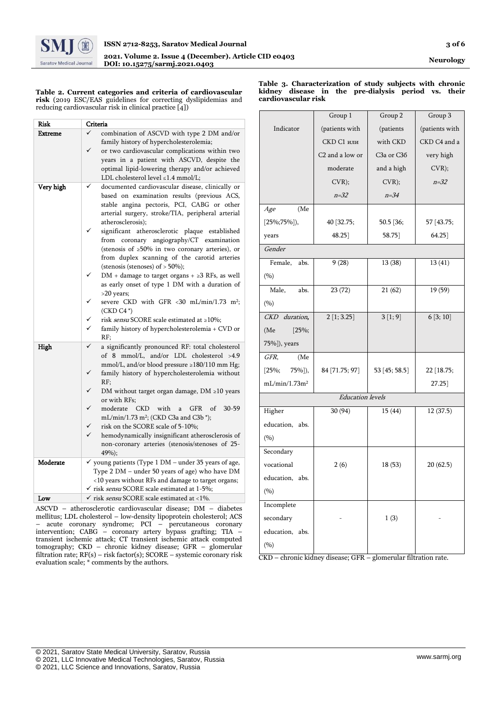

**Таble 2. Current categories and criteria of cardiovascular risk** (2019 ESC/EAS guidelines for correcting dyslipidemias and reducing cardiovascular risk in clinical practice [4])

| Risk      | Criteria                                                                                                                                                                                                                                                                                                                                                                                                                                                                                                                                                                                                                                                                                                                                                                                    |  |  |  |
|-----------|---------------------------------------------------------------------------------------------------------------------------------------------------------------------------------------------------------------------------------------------------------------------------------------------------------------------------------------------------------------------------------------------------------------------------------------------------------------------------------------------------------------------------------------------------------------------------------------------------------------------------------------------------------------------------------------------------------------------------------------------------------------------------------------------|--|--|--|
| Extreme   | ✓<br>combination of ASCVD with type 2 DM and/or<br>family history of hypercholesterolemia;<br>✓<br>or two cardiovascular complications within two<br>years in a patient with ASCVD, despite the<br>optimal lipid-lowering therapy and/or achieved<br>LDL cholesterol level ≤1.4 mmol/L;                                                                                                                                                                                                                                                                                                                                                                                                                                                                                                     |  |  |  |
| Very high | documented cardiovascular disease, clinically or<br>✓<br>based on examination results (previous ACS,<br>stable angina pectoris, PCI, CABG or other<br>arterial surgery, stroke/TIA, peripheral arterial<br>atherosclerosis);<br>significant atherosclerotic plaque established<br>from coronary angiography/CT examination<br>(stenosis of ≥50% in two coronary arteries), or<br>from duplex scanning of the carotid arteries<br>(stenosis (stenoses) of $>$ 50%);<br>$DM + damage$ to target organs + $\geq 3$ RFs, as well<br>as early onset of type 1 DM with a duration of<br>>20 years;<br>severe CKD with GFR <30 mL/min/1.73 m <sup>2</sup> ;<br>$(CKD C4*)$<br>✓<br>risk <i>sensu</i> SCORE scale estimated at ≥10%;<br>✓<br>family history of hypercholesterolemia + CVD or<br>RF: |  |  |  |
| High      | ✓<br>a significantly pronounced RF: total cholesterol<br>of 8 mmol/L, and/or LDL cholesterol >4.9<br>mmol/L, and/or blood pressure ≥180/110 mm Hg;<br>✓<br>family history of hypercholesterolemia without<br>RF:<br>✓<br>DM without target organ damage, $DM \ge 10$ years<br>or with RFs;<br>✓<br>moderate<br><b>CKD</b><br>with<br>GFR<br>of<br>$30 - 59$<br>$\mathbf{a}$<br>mL/min/1.73 m <sup>2</sup> ; (CKD C3a and C3b *);<br>risk on the SCORE scale of 5-10%;<br>✓<br>✓<br>hemodynamically insignificant atherosclerosis of<br>non-coronary arteries (stenosis/stenoses of 25-<br>49%);                                                                                                                                                                                             |  |  |  |
| Moderate  | $\checkmark$ young patients (Type 1 DM – under 35 years of age,<br>Type 2 DM - under 50 years of age) who have DM<br><10 years without RFs and damage to target organs;<br>√ risk <i>sensu</i> SCORE scale estimated at 1-5%;                                                                                                                                                                                                                                                                                                                                                                                                                                                                                                                                                               |  |  |  |
| Low       | $\checkmark$ risk sensu SCORE scale estimated at <1%.                                                                                                                                                                                                                                                                                                                                                                                                                                                                                                                                                                                                                                                                                                                                       |  |  |  |
|           |                                                                                                                                                                                                                                                                                                                                                                                                                                                                                                                                                                                                                                                                                                                                                                                             |  |  |  |

ASCVD – atherosclerotic cardiovascular disease; DM – diabetes mellitus; LDL cholesterol – low-density lipoprotein cholesterol; ACS – acute coronary syndrome; PCI – percutaneous coronary intervention; CABG – coronary artery bypass grafting; TIA – transient ischemic attack; CT transient ischemic attack computed tomography; CKD – chronic kidney disease; GFR – glomerular filtration rate; RF(s) – risk factor(s); SCORE – systemic coronary risk evaluation scale; \* comments by the authors.

**Таble 3. Characterization of study subjects with chronic kidney disease in the pre-dialysis period vs. their cardiovascular risk**

|                           | Group 1                 | Group 2       | Group 3        |
|---------------------------|-------------------------|---------------|----------------|
| Indicator                 | (patients with          | (patients     | (patients with |
|                           | <b>СКD С1 или</b>       | with CKD      | CKD C4 and a   |
|                           | C2 and a low or         | C3a or C36    | very high      |
|                           | moderate                | and a high    | CVR);          |
|                           | CVR);                   | CVR);         | $n = 32$       |
|                           | $n = 32$                | $n = 34$      |                |
| (Me)<br>Age               |                         |               |                |
| $[25\%;75\%],$            | 40 [32.75;              | 50.5 [36;     | 57 [43.75;     |
| years                     | 48.25                   | 58.75         | 64.25          |
| Gender                    |                         |               |                |
| Female,<br>abs.           | 9(28)                   | 13 (38)       | 13(41)         |
| (9/6)                     |                         |               |                |
| Male,<br>abs.             | 23(72)                  | 21(62)        | 19 (59)        |
| (9/0)                     |                         |               |                |
| CKD duration,             | 2[1; 3.25]              | 3[1;9]        | 6[3;10]        |
| (Me)<br>$[25\%;$          |                         |               |                |
| 75%]), years              |                         |               |                |
| GFR,<br>(Me               |                         |               |                |
| $[25\%;$<br>$75\%$ ]),    | 84 [71.75; 97]          | 53 [45; 58.5] | 22 [18.75;     |
| mL/min/1.73m <sup>2</sup> |                         |               | 27.25          |
|                           | <b>Education</b> levels |               |                |
| Higher                    | 30 (94)                 | 15(44)        | 12(37.5)       |
| education, abs.           |                         |               |                |
| (9/6)                     |                         |               |                |
| Secondary                 |                         |               |                |
| vocational                | 2(6)                    | 18(53)        | 20(62.5)       |
| education, abs.           |                         |               |                |
| (%)                       |                         |               |                |
| Incomplete                |                         |               |                |
| secondary                 |                         | 1(3)          |                |
| education,<br>abs.        |                         |               |                |
| (%)                       |                         |               |                |

CKD – chronic kidney disease; GFR – glomerular filtration rate.

<sup>[</sup> © 2021, Saratov State Medical University, Saratov, Russia

<sup>©</sup> 2021, LLC Innovative Medical Technologies, Saratov, Russia

<sup>©</sup> 2021, LLC Science and Innovations, Saratov, Russia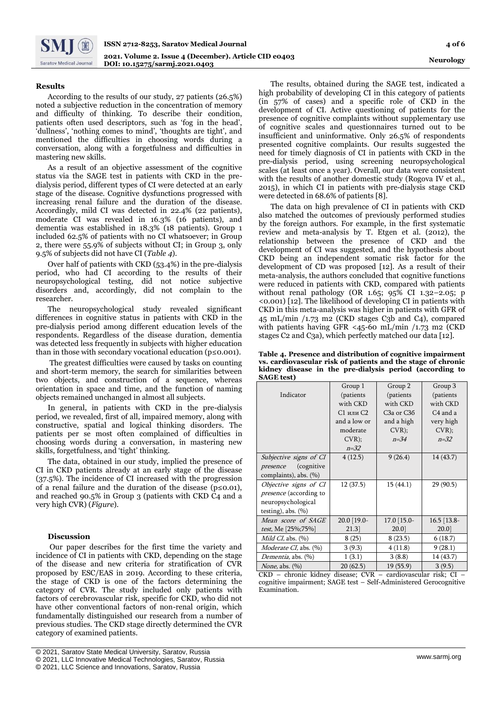## **Results**

According to the results of our study, 27 patients (26.5%) noted a subjective reduction in the concentration of memory and difficulty of thinking. To describe their condition, patients often used descriptors, such as 'fog in the head', 'dullness', 'nothing comes to mind', 'thoughts are tight', and mentioned the difficulties in choosing words during a conversation, along with a forgetfulness and difficulties in mastering new skills.

As a result of an objective assessment of the cognitive status via the SAGE test in patients with CKD in the predialysis period, different types of CI were detected at an early stage of the disease. Cognitive dysfunctions progressed with increasing renal failure and the duration of the disease. Accordingly, mild CI was detected in 22.4% (22 patients), moderate CI was revealed in 16.3% (16 patients), and dementia was established in 18.3% (18 patients). Group 1 included 62.5% of patients with no CI whatsoever; in Group 2, there were 55.9% of subjects without CI; in Group 3, only 9.5% of subjects did not have CI (*Table 4*).

Over half of patients with CKD (53.4%) in the pre-dialysis period, who had CI according to the results of their neuropsychological testing, did not notice subjective disorders and, accordingly, did not complain to the researcher.

The neuropsychological study revealed significant differences in cognitive status in patients with CKD in the pre-dialysis period among different education levels of the respondents. Regardless of the disease duration, dementia was detected less frequently in subjects with higher education than in those with secondary vocational education (p≤0.001).

The greatest difficulties were caused by tasks on counting and short-term memory, the search for similarities between two objects, and construction of a sequence, whereas orientation in space and time, and the function of naming objects remained unchanged in almost all subjects.

In general, in patients with CKD in the pre-dialysis period, we revealed, first of all, impaired memory, along with constructive, spatial and logical thinking disorders. The patients per se most often complained of difficulties in choosing words during a conversation, in mastering new skills, forgetfulness, and 'tight' thinking.

The data, obtained in our study, implied the presence of CI in CKD patients already at an early stage of the disease (37.5%). The incidence of CI increased with the progression of a renal failure and the duration of the disease (p≤0.01), and reached 90.5% in Group 3 (patients with CKD C4 and a very high CVR) (*Figure*).

# **Discussion**

Our paper describes for the first time the variety and incidence of CI in patients with CKD, depending on the stage of the disease and new criteria for stratification of CVR proposed by ESC/EAS in 2019. According to these criteria, the stage of CKD is one of the factors determining the category of CVR. The study included only patients with factors of cerebrovascular risk, specific for CKD, who did not have other conventional factors of non-renal origin, which fundamentally distinguished our research from a number of previous studies. The CKD stage directly determined the CVR category of examined patients.

© 2021, LLC Science and Innovations, Saratov, Russia

The results, obtained during the SAGE test, indicated a high probability of developing CI in this category of patients (in 57% of cases) and a specific role of CKD in the development of CI. Active questioning of patients for the presence of cognitive complaints without supplementary use of cognitive scales and questionnaires turned out to be insufficient and uninformative. Only 26.5% of respondents presented cognitive complaints. Our results suggested the need for timely diagnosis of CI in patients with CKD in the pre-dialysis period, using screening neuropsychological scales (at least once a year). Overall, our data were consistent with the results of another domestic study (Rogova IV et al., 2015), in which CI in patients with pre-dialysis stage CKD were detected in 68.6% of patients [8].

The data on high prevalence of CI in patients with CKD also matched the outcomes of previously performed studies by the foreign authors. For example, in the first systematic review and meta-analysis by T. Etgen et al. (2012), the relationship between the presence of CKD and the development of CI was suggested, and the hypothesis about CKD being an independent somatic risk factor for the development of CD was proposed [12]. As a result of their meta-analysis, the authors concluded that cognitive functions were reduced in patients with CKD, compared with patients without renal pathology (OR 1.65;  $95\%$  CI 1.32–2.05; p <0.001) [12]. The likelihood of developing CI in patients with CKD in this meta-analysis was higher in patients with GFR of 45 mL/min /1.73 m2 (CKD stages C3b and C4), compared with patients having GFR <45-60 mL/min /1.73 m2 (CKD stages C2 and C3a), which perfectly matched our data [12].

**Таble 4. Presence and distribution of cognitive impairment vs. cardiovascular risk of patients and the stage of chronic kidney disease in the pre-dialysis period (according to SAGE test)**

|                               | Group 1      | Group 2                             | Group 3       |
|-------------------------------|--------------|-------------------------------------|---------------|
| Indicator                     | (patients    | (patients                           | (patients     |
|                               | with CKD     | with CKD                            | with CKD      |
|                               | С1 или С2    | C <sub>3</sub> a or C <sub>36</sub> | C4 and a      |
|                               | and a low or | and a high                          | very high     |
|                               | moderate     | $CVR$ );                            | CVR);         |
|                               | CVR);        | $n=34$                              | $n = 32$      |
|                               | $n = 32$     |                                     |               |
| Subjective signs of CI        | 4(12.5)      | 9(26.4)                             | 14(43.7)      |
| (cognitive)<br>presence       |              |                                     |               |
| complaints), abs. (%)         |              |                                     |               |
| Objective signs of CI         | 12 (37.5)    | 15(44.1)                            | 29 (90.5)     |
| presence (according to        |              |                                     |               |
| neuropsychological            |              |                                     |               |
| testing), abs. $(\%)$         |              |                                     |               |
| Mean score of SAGE            | 20.0 [19.0-  | 17.0 [15.0-                         | $16.5$ [13.8- |
| test, Me [25%;75%]            | 21.3         | 20.01                               | 20.0]         |
| Mild CI, abs. $(\% )$         | 8(25)        | 8(23.5)                             | 6(18.7)       |
| <i>Moderate CI</i> , abs. (%) | 3(9.3)       | 4(11.8)                             | 9(28.1)       |
| Dementia, abs. (%)            | 1(3.1)       | 3(8.8)                              | 14 (43.7)     |
| <i>None</i> , abs. $(\%)$     | 20(62.5)     | 19(55.9)                            | 3(9.5)        |

CKD – chronic kidney disease; СVR – cardiovascular risk; CI – cognitive impairment; SAGE test – Self-Administered Gerocognitive Examination.

<sup>[</sup> © 2021, Saratov State Medical University, Saratov, Russia

<sup>©</sup> 2021, LLC Innovative Medical Technologies, Saratov, Russia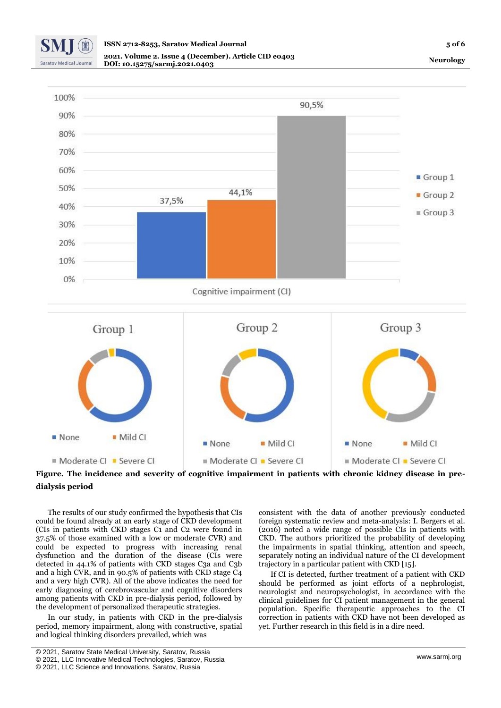

**Neurology**





The results of our study confirmed the hypothesis that CIs could be found already at an early stage of CKD development (CIs in patients with CKD stages C1 and C2 were found in 37.5% of those examined with a low or moderate CVR) and could be expected to progress with increasing renal dysfunction and the duration of the disease (CIs were detected in 44.1% of patients with CKD stages C3a and C3b and a high CVR, and in 90.5% of patients with CKD stage C4 and a very high CVR). All of the above indicates the need for early diagnosing of cerebrovascular and cognitive disorders among patients with CKD in pre-dialysis period, followed by the development of personalized therapeutic strategies.

In our study, in patients with CKD in the pre-dialysis period, memory impairment, along with constructive, spatial and logical thinking disorders prevailed, which was

consistent with the data of another previously conducted foreign systematic review and meta-analysis: I. Bergers et al. (2016) noted a wide range of possible CIs in patients with CKD. The authors prioritized the probability of developing the impairments in spatial thinking, attention and speech, separately noting an individual nature of the CI development trajectory in a particular patient with CKD [15].

If CI is detected, further treatment of a patient with CKD should be performed as joint efforts of a nephrologist, neurologist and neuropsychologist, in accordance with the clinical guidelines for CI patient management in the general population. Specific therapeutic approaches to the CI correction in patients with CKD have not been developed as yet. Further research in this field is in a dire need.

<sup>[</sup> © 2021, Saratov State Medical University, Saratov, Russia

<sup>©</sup> 2021, LLC Innovative Medical Technologies, Saratov, Russia

<sup>©</sup> 2021, LLC Science and Innovations, Saratov, Russia